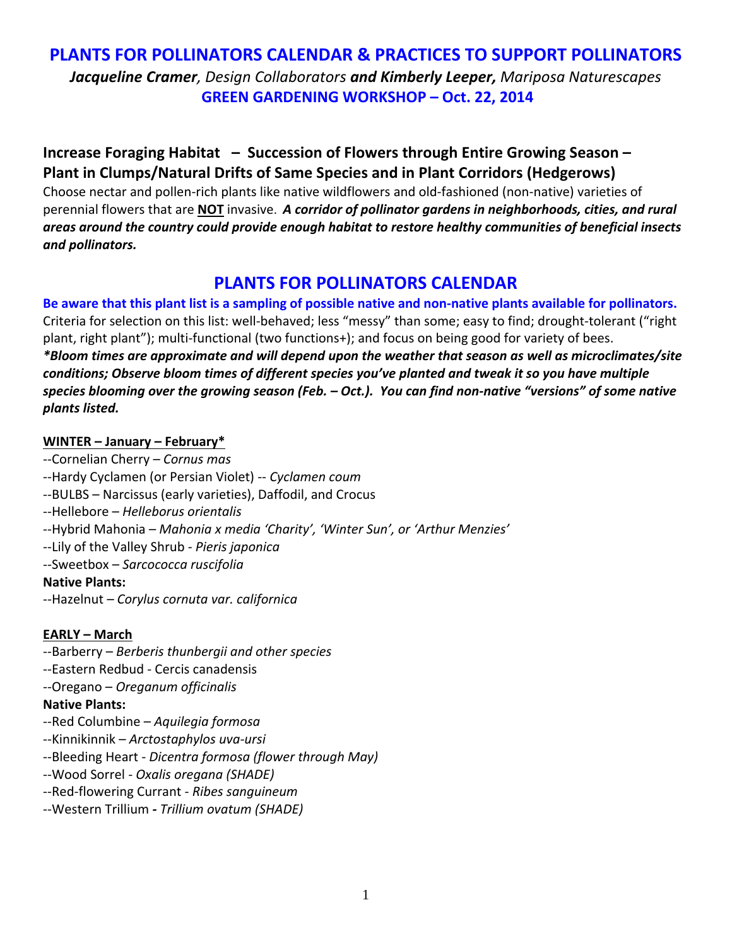## **PLANTS FOR POLLINATORS CALENDAR & PRACTICES TO SUPPORT POLLINATORS** *Jacqueline Cramer, Design Collaborators and Kimberly Leeper, Mariposa Naturescapes* **GREEN GARDENING WORKSHOP – Oct. 22, 2014**

### **Increase Foraging Habitat – Succession of Flowers through Entire Growing Season – Plant in Clumps/Natural Drifts of Same Species and in Plant Corridors (Hedgerows)**

Choose nectar and pollen‐rich plants like native wildflowers and old‐fashioned (non‐native) varieties of perennial flowers that are **NOT** invasive. *A corridor of pollinator gardens in neighborhoods, cities, and rural areas around the country could provide enough habitat to restore healthy communities of beneficial insects and pollinators.* 

## **PLANTS FOR POLLINATORS CALENDAR**

Be aware that this plant list is a sampling of possible native and non-native plants available for pollinators. Criteria for selection on this list: well‐behaved; less "messy" than some; easy to find; drought‐tolerant ("right plant, right plant"); multi‐functional (two functions+); and focus on being good for variety of bees. *\*Bloom times are approximate and will depend upon the weather that season as well as microclimates/site conditions; Observe bloom times of different species you've planted and tweak it so you have multiple* species blooming over the growing season (Feb.  $-$  Oct.). You can find non-native "versions" of some native *plants listed.*

### **WINTER – January – February\***

*‐‐*Cornelian Cherry – *Cornus mas* ‐‐Hardy Cyclamen (or Persian Violet) ‐‐ *Cyclamen coum* ‐‐BULBS – Narcissus (early varieties), Daffodil, and Crocus ‐‐Hellebore – *Helleborus orientalis* ‐‐Hybrid Mahonia – *Mahonia x media 'Charity', 'Winter Sun', or 'Arthur Menzies'* ‐‐Lily of the Valley Shrub ‐ *Pieris japonica ‐‐*Sweetbox – *Sarcococca ruscifolia* **Native Plants:** 

‐‐Hazelnut *– Corylus cornuta var. californica*

### **EARLY – March**

- ‐‐Barberry *Berberis thunbergii and other species*
- ‐‐Eastern Redbud ‐ Cercis canadensis
- *‐‐*Oregano *Oreganum officinalis*

### **Native Plants:**

- ‐‐Red Columbine *Aquilegia formosa*
- ‐‐Kinnikinnik *Arctostaphylos uva‐ursi*
- ‐‐Bleeding Heart *‐ Dicentra formosa (flower through May)*
- ‐‐Wood Sorrel *‐ Oxalis oregana (SHADE)*
- ‐‐Red‐flowering Currant ‐ *Ribes sanguineum*
- ‐‐Western Trillium *‐ Trillium ovatum (SHADE)*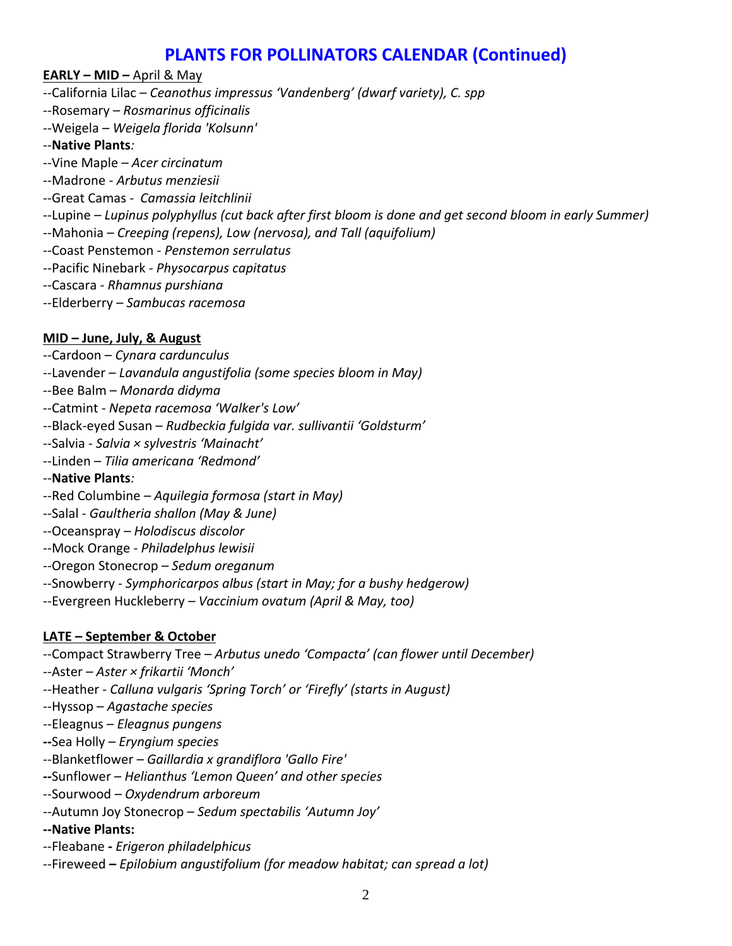## **PLANTS FOR POLLINATORS CALENDAR (Continued)**

#### **EARLY – MID –** April & May

- *‐‐*California Lilac *Ceanothus impressus 'Vandenberg' (dwarf variety), C. spp*
- *‐‐*Rosemary *– Rosmarinus officinalis*
- *‐‐*Weigela *Weigela florida 'Kolsunn'*

#### ‐‐**Native Plants***:*

- ‐‐Vine Maple *– Acer circinatum*
- ‐‐Madrone *‐ Arbutus menziesii*
- ‐‐Great Camas *‐ Camassia leitchlinii*
- ‐‐Lupine *– Lupinus polyphyllus (cut back after first bloom is done and get second bloom in early Summer)*
- ‐‐Mahonia *– Creeping (repens), Low (nervosa), and Tall (aquifolium)*
- *‐‐*Coast Penstemon *‐ Penstemon serrulatus*
- ‐‐Pacific Ninebark *‐ Physocarpus capitatus*
- ‐‐Cascara ‐ *Rhamnus purshiana*
- ‐‐Elderberry *– Sambucas racemosa*

### **MID – June, July, & August**

- *‐‐*Cardoon *Cynara cardunculus*
- *‐‐*Lavender *Lavandula angustifolia (some species bloom in May)*
- ‐‐Bee Balm *Monarda didyma*
- ‐‐Catmint ‐ *Nepeta racemosa 'Walker's Low'*
- ‐‐Black‐eyed Susan *Rudbeckia fulgida var. sullivantii 'Goldsturm'*
- *‐‐*Salvia ‐ *Salvia × sylvestris 'Mainacht'*
- ‐‐Linden *Tilia americana 'Redmond'*
- ‐‐**Native Plants***:*
- ‐‐Red Columbine *– Aquilegia formosa (start in May)*
- ‐‐Salal ‐ *Gaultheria shallon (May & June)*
- ‐‐Oceanspray *– Holodiscus discolor*
- ‐‐Mock Orange ‐ *Philadelphus lewisii*
- ‐‐Oregon Stonecrop *Sedum oreganum*
- ‐‐Snowberry ‐ *Symphoricarpos albus (start in May; for a bushy hedgerow)*
- ‐‐Evergreen Huckleberry *– Vaccinium ovatum (April & May, too)*

### **LATE – September & October**

- ‐‐Compact Strawberry Tree *– Arbutus unedo 'Compacta' (can flower until December)*
- *‐*‐Aster *– Aster × frikartii 'Monch'*
- ‐‐Heather ‐ *Calluna vulgaris 'Spring Torch' or 'Firefly' (starts in August)*
- *‐‐*Hyssop *Agastache species*
- ‐‐Eleagnus *Eleagnus pungens*
- **‐‐**Sea Holly *Eryngium species*
- ‐‐Blanketflower *– Gaillardia x grandiflora 'Gallo Fire'*
- **‐‐**Sunflower *Helianthus 'Lemon Queen' and other species*
- ‐‐Sourwood *– Oxydendrum arboreum*
- *‐‐*Autumn Joy Stonecrop *Sedum spectabilis 'Autumn Joy'*
- **‐‐Native Plants:**
- ‐‐Fleabane *‐ Erigeron philadelphicus*
- ‐‐Fireweed *– Epilobium angustifolium (for meadow habitat; can spread a lot)*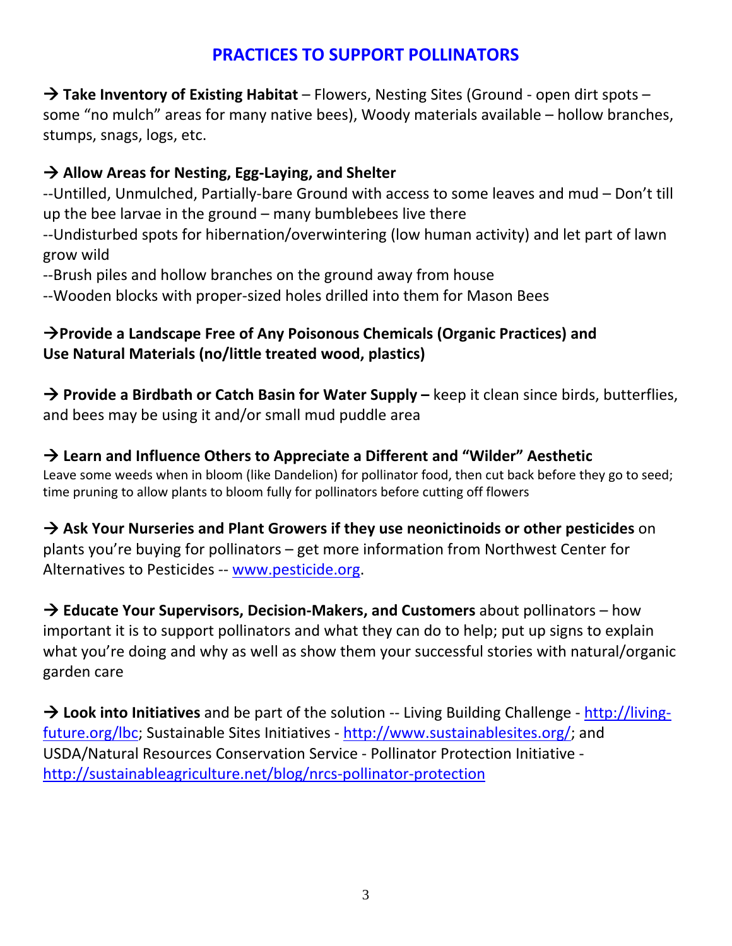# **PRACTICES TO SUPPORT POLLINATORS**

 **Take Inventory of Existing Habitat** – Flowers, Nesting Sites (Ground ‐ open dirt spots – some "no mulch" areas for many native bees), Woody materials available – hollow branches, stumps, snags, logs, etc.

## **Allow Areas for Nesting, Egg‐Laying, and Shelter**

‐‐Untilled, Unmulched, Partially‐bare Ground with access to some leaves and mud – Don't till up the bee larvae in the ground – many bumblebees live there

‐‐Undisturbed spots for hibernation/overwintering (low human activity) and let part of lawn grow wild

‐‐Brush piles and hollow branches on the ground away from house

‐‐Wooden blocks with proper‐sized holes drilled into them for Mason Bees

## **Provide a Landscape Free of Any Poisonous Chemicals (Organic Practices) and Use Natural Materials (no/little treated wood, plastics)**

 **Provide a Birdbath or Catch Basin for Water Supply –** keep it clean since birds, butterflies, and bees may be using it and/or small mud puddle area

### **Learn and Influence Others to Appreciate a Different and "Wilder" Aesthetic** Leave some weeds when in bloom (like Dandelion) for pollinator food, then cut back before they go to seed; time pruning to allow plants to bloom fully for pollinators before cutting off flowers

 **Ask Your Nurseries and Plant Growers if they use neonictinoids or other pesticides** on plants you're buying for pollinators – get more information from Northwest Center for Alternatives to Pesticides ‐‐ www.pesticide.org.

 **Educate Your Supervisors, Decision‐Makers, and Customers** about pollinators – how important it is to support pollinators and what they can do to help; put up signs to explain what you're doing and why as well as show them your successful stories with natural/organic garden care

 **Look into Initiatives** and be part of the solution ‐‐ Living Building Challenge ‐ http://living‐ future.org/lbc; Sustainable Sites Initiatives ‐ http://www.sustainablesites.org/; and USDA/Natural Resources Conservation Service ‐ Pollinator Protection Initiative ‐ http://sustainableagriculture.net/blog/nrcs‐pollinator‐protection